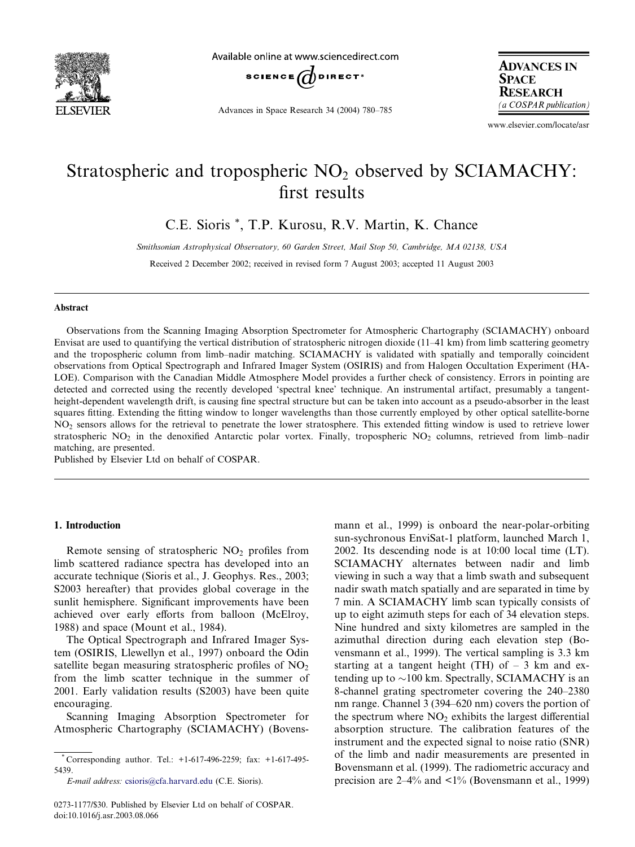

Available online at www.sciencedirect.com



Advances in Space Research 34 (2004) 780–785

**ADVANCES IN SPACE RESEARCH** (a COSPAR publication)

www.elsevier.com/locate/asr

# Stratospheric and tropospheric  $NO<sub>2</sub>$  observed by SCIAMACHY: first results

C.E. Sioris \*, T.P. Kurosu, R.V. Martin, K. Chance

Smithsonian Astrophysical Observatory, 60 Garden Street, Mail Stop 50, Cambridge, MA 02138, USA

Received 2 December 2002; received in revised form 7 August 2003; accepted 11 August 2003

#### Abstract

Observations from the Scanning Imaging Absorption Spectrometer for Atmospheric Chartography (SCIAMACHY) onboard Envisat are used to quantifying the vertical distribution of stratospheric nitrogen dioxide (11–41 km) from limb scattering geometry and the tropospheric column from limb–nadir matching. SCIAMACHY is validated with spatially and temporally coincident observations from Optical Spectrograph and Infrared Imager System (OSIRIS) and from Halogen Occultation Experiment (HA-LOE). Comparison with the Canadian Middle Atmosphere Model provides a further check of consistency. Errors in pointing are detected and corrected using the recently developed 'spectral knee' technique. An instrumental artifact, presumably a tangentheight-dependent wavelength drift, is causing fine spectral structure but can be taken into account as a pseudo-absorber in the least squares fitting. Extending the fitting window to longer wavelengths than those currently employed by other optical satellite-borne NO2 sensors allows for the retrieval to penetrate the lower stratosphere. This extended fitting window is used to retrieve lower stratospheric NO<sub>2</sub> in the denoxified Antarctic polar vortex. Finally, tropospheric NO<sub>2</sub> columns, retrieved from limb–nadir matching, are presented.

Published by Elsevier Ltd on behalf of COSPAR.

### 1. Introduction

Remote sensing of stratospheric  $NO<sub>2</sub>$  profiles from limb scattered radiance spectra has developed into an accurate technique (Sioris et al., J. Geophys. Res., 2003; S2003 hereafter) that provides global coverage in the sunlit hemisphere. Significant improvements have been achieved over early efforts from balloon (McElroy, 1988) and space (Mount et al., 1984).

The Optical Spectrograph and Infrared Imager System (OSIRIS, Llewellyn et al., 1997) onboard the Odin satellite began measuring stratospheric profiles of  $NO<sub>2</sub>$ from the limb scatter technique in the summer of 2001. Early validation results (S2003) have been quite encouraging.

Scanning Imaging Absorption Spectrometer for Atmospheric Chartography (SCIAMACHY) (Bovensmann et al., 1999) is onboard the near-polar-orbiting sun-sychronous EnviSat-1 platform, launched March 1, 2002. Its descending node is at 10:00 local time (LT). SCIAMACHY alternates between nadir and limb viewing in such a way that a limb swath and subsequent nadir swath match spatially and are separated in time by 7 min. A SCIAMACHY limb scan typically consists of up to eight azimuth steps for each of 34 elevation steps. Nine hundred and sixty kilometres are sampled in the azimuthal direction during each elevation step (Bovensmann et al., 1999). The vertical sampling is 3.3 km starting at a tangent height (TH) of  $-3$  km and extending up to  $\sim$ 100 km. Spectrally, SCIAMACHY is an 8-channel grating spectrometer covering the 240–2380 nm range. Channel 3 (394–620 nm) covers the portion of the spectrum where  $NO<sub>2</sub>$  exhibits the largest differential absorption structure. The calibration features of the instrument and the expected signal to noise ratio (SNR) of the limb and nadir measurements are presented in Bovensmann et al. (1999). The radiometric accuracy and precision are 2–4% and <1% (Bovensmann et al., 1999)

<sup>\*</sup> Corresponding author. Tel.: +1-617-496-2259; fax: +1-617-495- 5439.

E-mail address: [csioris@cfa.harvard.edu](mail to: csioris@cfa.harvard.edu) (C.E. Sioris).

<sup>0273-1177/\$30.</sup> Published by Elsevier Ltd on behalf of COSPAR. doi:10.1016/j.asr.2003.08.066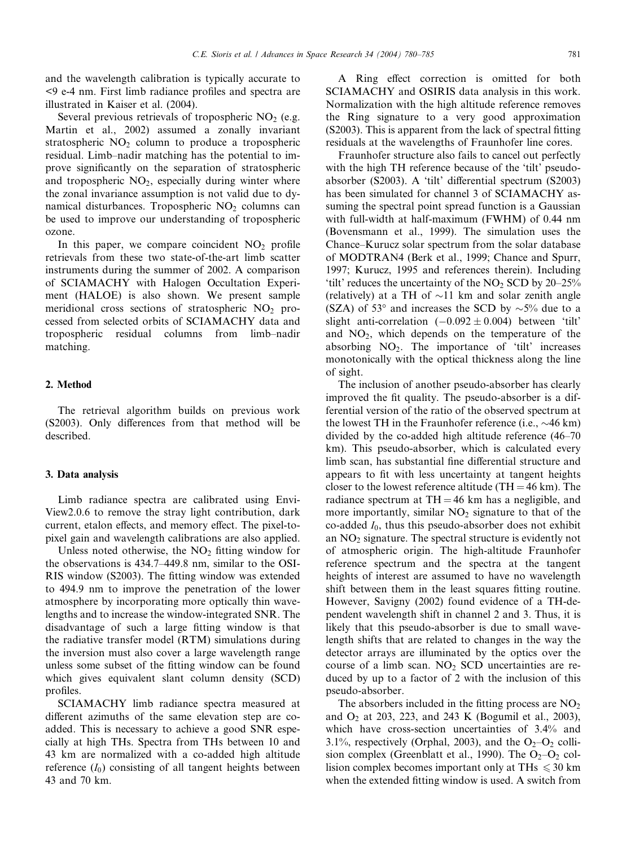and the wavelength calibration is typically accurate to <9 e-4 nm. First limb radiance profiles and spectra are illustrated in Kaiser et al. (2004).

Several previous retrievals of tropospheric  $NO<sub>2</sub>$  (e.g. Martin et al., 2002) assumed a zonally invariant stratospheric  $NO<sub>2</sub>$  column to produce a tropospheric residual. Limb–nadir matching has the potential to improve significantly on the separation of stratospheric and tropospheric  $NO<sub>2</sub>$ , especially during winter where the zonal invariance assumption is not valid due to dynamical disturbances. Tropospheric  $NO<sub>2</sub>$  columns can be used to improve our understanding of tropospheric ozone.

In this paper, we compare coincident  $NO<sub>2</sub>$  profile retrievals from these two state-of-the-art limb scatter instruments during the summer of 2002. A comparison of SCIAMACHY with Halogen Occultation Experiment (HALOE) is also shown. We present sample meridional cross sections of stratospheric  $NO<sub>2</sub>$  processed from selected orbits of SCIAMACHY data and tropospheric residual columns from limb–nadir matching.

# 2. Method

The retrieval algorithm builds on previous work (S2003). Only differences from that method will be described.

# 3. Data analysis

Limb radiance spectra are calibrated using Envi-View2.0.6 to remove the stray light contribution, dark current, etalon effects, and memory effect. The pixel-topixel gain and wavelength calibrations are also applied.

Unless noted otherwise, the  $NO<sub>2</sub>$  fitting window for the observations is 434.7–449.8 nm, similar to the OSI-RIS window (S2003). The fitting window was extended to 494.9 nm to improve the penetration of the lower atmosphere by incorporating more optically thin wavelengths and to increase the window-integrated SNR. The disadvantage of such a large fitting window is that the radiative transfer model (RTM) simulations during the inversion must also cover a large wavelength range unless some subset of the fitting window can be found which gives equivalent slant column density (SCD) profiles.

SCIAMACHY limb radiance spectra measured at different azimuths of the same elevation step are coadded. This is necessary to achieve a good SNR especially at high THs. Spectra from THs between 10 and 43 km are normalized with a co-added high altitude reference  $(I_0)$  consisting of all tangent heights between 43 and 70 km.

A Ring effect correction is omitted for both SCIAMACHY and OSIRIS data analysis in this work. Normalization with the high altitude reference removes the Ring signature to a very good approximation (S2003). This is apparent from the lack of spectral fitting residuals at the wavelengths of Fraunhofer line cores.

Fraunhofer structure also fails to cancel out perfectly with the high TH reference because of the 'tilt' pseudoabsorber (S2003). A 'tilt' differential spectrum (S2003) has been simulated for channel 3 of SCIAMACHY assuming the spectral point spread function is a Gaussian with full-width at half-maximum (FWHM) of 0.44 nm (Bovensmann et al., 1999). The simulation uses the Chance–Kurucz solar spectrum from the solar database of MODTRAN4 (Berk et al., 1999; Chance and Spurr, 1997; Kurucz, 1995 and references therein). Including 'tilt' reduces the uncertainty of the  $NO<sub>2</sub>$  SCD by 20–25% (relatively) at a TH of  $\sim$ 11 km and solar zenith angle (SZA) of 53 $\degree$  and increases the SCD by  $\sim$ 5% due to a slight anti-correlation  $(-0.092 \pm 0.004)$  between 'tilt' and  $NO<sub>2</sub>$ , which depends on the temperature of the absorbing  $NO<sub>2</sub>$ . The importance of 'tilt' increases monotonically with the optical thickness along the line of sight.

The inclusion of another pseudo-absorber has clearly improved the fit quality. The pseudo-absorber is a differential version of the ratio of the observed spectrum at the lowest TH in the Fraunhofer reference (i.e.,  $\sim$ 46 km) divided by the co-added high altitude reference (46–70 km). This pseudo-absorber, which is calculated every limb scan, has substantial fine differential structure and appears to fit with less uncertainty at tangent heights closer to the lowest reference altitude (TH  $=$  46 km). The radiance spectrum at  $TH = 46$  km has a negligible, and more importantly, similar  $NO<sub>2</sub>$  signature to that of the co-added  $I_0$ , thus this pseudo-absorber does not exhibit an  $NO<sub>2</sub>$  signature. The spectral structure is evidently not of atmospheric origin. The high-altitude Fraunhofer reference spectrum and the spectra at the tangent heights of interest are assumed to have no wavelength shift between them in the least squares fitting routine. However, Savigny (2002) found evidence of a TH-dependent wavelength shift in channel 2 and 3. Thus, it is likely that this pseudo-absorber is due to small wavelength shifts that are related to changes in the way the detector arrays are illuminated by the optics over the course of a limb scan.  $NO<sub>2</sub>$  SCD uncertainties are reduced by up to a factor of 2 with the inclusion of this pseudo-absorber.

The absorbers included in the fitting process are  $NO<sub>2</sub>$ and  $O_2$  at 203, 223, and 243 K (Bogumil et al., 2003), which have cross-section uncertainties of 3.4% and 3.1%, respectively (Orphal, 2003), and the  $O_2-O_2$  collision complex (Greenblatt et al., 1990). The  $O_2-O_2$  collision complex becomes important only at THs  $\leq 30$  km when the extended fitting window is used. A switch from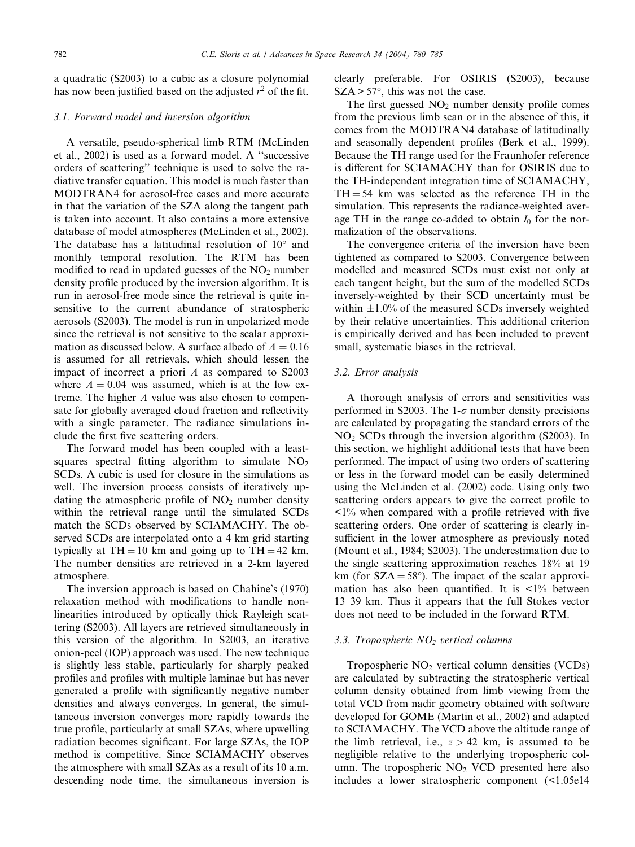a quadratic (S2003) to a cubic as a closure polynomial has now been justified based on the adjusted  $r^2$  of the fit.

#### 3.1. Forward model and inversion algorithm

A versatile, pseudo-spherical limb RTM (McLinden et al., 2002) is used as a forward model. A ''successive orders of scattering'' technique is used to solve the radiative transfer equation. This model is much faster than MODTRAN4 for aerosol-free cases and more accurate in that the variation of the SZA along the tangent path is taken into account. It also contains a more extensive database of model atmospheres (McLinden et al., 2002). The database has a latitudinal resolution of  $10^{\circ}$  and monthly temporal resolution. The RTM has been modified to read in updated guesses of the  $NO<sub>2</sub>$  number density profile produced by the inversion algorithm. It is run in aerosol-free mode since the retrieval is quite insensitive to the current abundance of stratospheric aerosols (S2003). The model is run in unpolarized mode since the retrieval is not sensitive to the scalar approximation as discussed below. A surface albedo of  $A = 0.16$ is assumed for all retrievals, which should lessen the impact of incorrect a priori  $\Lambda$  as compared to S2003 where  $A = 0.04$  was assumed, which is at the low extreme. The higher  $\Lambda$  value was also chosen to compensate for globally averaged cloud fraction and reflectivity with a single parameter. The radiance simulations include the first five scattering orders.

The forward model has been coupled with a leastsquares spectral fitting algorithm to simulate  $NO<sub>2</sub>$ SCDs. A cubic is used for closure in the simulations as well. The inversion process consists of iteratively updating the atmospheric profile of  $NO<sub>2</sub>$  number density within the retrieval range until the simulated SCDs match the SCDs observed by SCIAMACHY. The observed SCDs are interpolated onto a 4 km grid starting typically at  $TH = 10$  km and going up to  $TH = 42$  km. The number densities are retrieved in a 2-km layered atmosphere.

The inversion approach is based on Chahine's (1970) relaxation method with modifications to handle nonlinearities introduced by optically thick Rayleigh scattering (S2003). All layers are retrieved simultaneously in this version of the algorithm. In S2003, an iterative onion-peel (IOP) approach was used. The new technique is slightly less stable, particularly for sharply peaked profiles and profiles with multiple laminae but has never generated a profile with significantly negative number densities and always converges. In general, the simultaneous inversion converges more rapidly towards the true profile, particularly at small SZAs, where upwelling radiation becomes significant. For large SZAs, the IOP method is competitive. Since SCIAMACHY observes the atmosphere with small SZAs as a result of its 10 a.m. descending node time, the simultaneous inversion is clearly preferable. For OSIRIS (S2003), because  $SZA > 57^{\circ}$ , this was not the case.

The first guessed  $NO<sub>2</sub>$  number density profile comes from the previous limb scan or in the absence of this, it comes from the MODTRAN4 database of latitudinally and seasonally dependent profiles (Berk et al., 1999). Because the TH range used for the Fraunhofer reference is different for SCIAMACHY than for OSIRIS due to the TH-independent integration time of SCIAMACHY,  $TH = 54$  km was selected as the reference TH in the simulation. This represents the radiance-weighted average TH in the range co-added to obtain  $I_0$  for the normalization of the observations.

The convergence criteria of the inversion have been tightened as compared to S2003. Convergence between modelled and measured SCDs must exist not only at each tangent height, but the sum of the modelled SCDs inversely-weighted by their SCD uncertainty must be within  $\pm 1.0\%$  of the measured SCDs inversely weighted by their relative uncertainties. This additional criterion is empirically derived and has been included to prevent small, systematic biases in the retrieval.

# 3.2. Error analysis

A thorough analysis of errors and sensitivities was performed in S2003. The 1- $\sigma$  number density precisions are calculated by propagating the standard errors of the  $NO<sub>2</sub>$  SCDs through the inversion algorithm (S2003). In this section, we highlight additional tests that have been performed. The impact of using two orders of scattering or less in the forward model can be easily determined using the McLinden et al. (2002) code. Using only two scattering orders appears to give the correct profile to  $\langle 1\%$  when compared with a profile retrieved with five scattering orders. One order of scattering is clearly insufficient in the lower atmosphere as previously noted (Mount et al., 1984; S2003). The underestimation due to the single scattering approximation reaches 18% at 19 km (for  $SZA = 58^{\circ}$ ). The impact of the scalar approximation has also been quantified. It is  $\langle 1 \rangle$  between 13–39 km. Thus it appears that the full Stokes vector does not need to be included in the forward RTM.

#### 3.3. Tropospheric  $NO<sub>2</sub>$  vertical columns

Tropospheric  $NO<sub>2</sub>$  vertical column densities (VCDs) are calculated by subtracting the stratospheric vertical column density obtained from limb viewing from the total VCD from nadir geometry obtained with software developed for GOME (Martin et al., 2002) and adapted to SCIAMACHY. The VCD above the altitude range of the limb retrieval, i.e.,  $z > 42$  km, is assumed to be negligible relative to the underlying tropospheric column. The tropospheric  $NO<sub>2</sub> VCD$  presented here also includes a lower stratospheric component (<1.05e14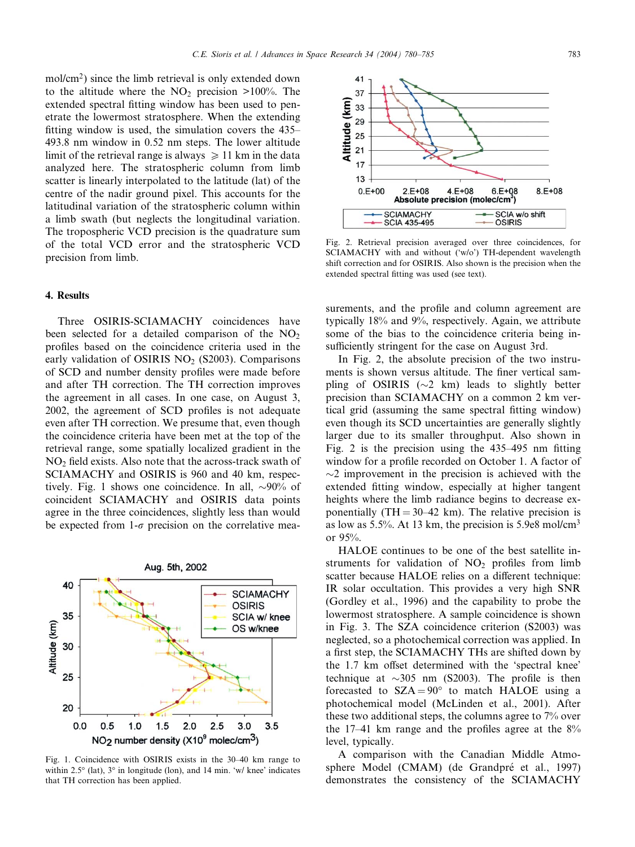mol/cm<sup>2</sup>) since the limb retrieval is only extended down to the altitude where the  $NO<sub>2</sub>$  precision >100%. The extended spectral fitting window has been used to penetrate the lowermost stratosphere. When the extending fitting window is used, the simulation covers the 435– 493.8 nm window in 0.52 nm steps. The lower altitude limit of the retrieval range is always  $\geq 11$  km in the data analyzed here. The stratospheric column from limb scatter is linearly interpolated to the latitude (lat) of the centre of the nadir ground pixel. This accounts for the latitudinal variation of the stratospheric column within a limb swath (but neglects the longitudinal variation. The tropospheric VCD precision is the quadrature sum of the total VCD error and the stratospheric VCD precision from limb.

# 4. Results

Three OSIRIS-SCIAMACHY coincidences have been selected for a detailed comparison of the  $NO<sub>2</sub>$ profiles based on the coincidence criteria used in the early validation of OSIRIS  $NO<sub>2</sub>$  (S2003). Comparisons of SCD and number density profiles were made before and after TH correction. The TH correction improves the agreement in all cases. In one case, on August 3, 2002, the agreement of SCD profiles is not adequate even after TH correction. We presume that, even though the coincidence criteria have been met at the top of the retrieval range, some spatially localized gradient in the  $NO<sub>2</sub>$  field exists. Also note that the across-track swath of SCIAMACHY and OSIRIS is 960 and 40 km, respectively. Fig. 1 shows one coincidence. In all,  $\sim 90\%$  of coincident SCIAMACHY and OSIRIS data points agree in the three coincidences, slightly less than would be expected from  $1-\sigma$  precision on the correlative mea-



Fig. 1. Coincidence with OSIRIS exists in the 30–40 km range to within 2.5 $\degree$  (lat),  $3\degree$  in longitude (lon), and 14 min. 'w/ knee' indicates that TH correction has been applied.



Fig. 2. Retrieval precision averaged over three coincidences, for SCIAMACHY with and without ('w/o') TH-dependent wavelength shift correction and for OSIRIS. Also shown is the precision when the extended spectral fitting was used (see text).

surements, and the profile and column agreement are typically 18% and 9%, respectively. Again, we attribute some of the bias to the coincidence criteria being insufficiently stringent for the case on August 3rd.

In Fig. 2, the absolute precision of the two instruments is shown versus altitude. The finer vertical sampling of OSIRIS ( $\sim$ 2 km) leads to slightly better precision than SCIAMACHY on a common 2 km vertical grid (assuming the same spectral fitting window) even though its SCD uncertainties are generally slightly larger due to its smaller throughput. Also shown in Fig. 2 is the precision using the 435–495 nm fitting window for a profile recorded on October 1. A factor of  $\sim$ 2 improvement in the precision is achieved with the extended fitting window, especially at higher tangent heights where the limb radiance begins to decrease exponentially  $(TH = 30-42 \text{ km})$ . The relative precision is as low as  $5.5\%$ . At 13 km, the precision is  $5.9e8 \text{ mol/cm}^3$ or 95%.

HALOE continues to be one of the best satellite instruments for validation of  $NO<sub>2</sub>$  profiles from limb scatter because HALOE relies on a different technique: IR solar occultation. This provides a very high SNR (Gordley et al., 1996) and the capability to probe the lowermost stratosphere. A sample coincidence is shown in Fig. 3. The SZA coincidence criterion (S2003) was neglected, so a photochemical correction was applied. In a first step, the SCIAMACHY THs are shifted down by the 1.7 km offset determined with the 'spectral knee' technique at  $\sim$ 305 nm (S2003). The profile is then forecasted to  $SZA = 90^{\circ}$  to match HALOE using a photochemical model (McLinden et al., 2001). After these two additional steps, the columns agree to 7% over the  $17-41$  km range and the profiles agree at the  $8\%$ level, typically.

A comparison with the Canadian Middle Atmosphere Model (CMAM) (de Grandpré et al., 1997) demonstrates the consistency of the SCIAMACHY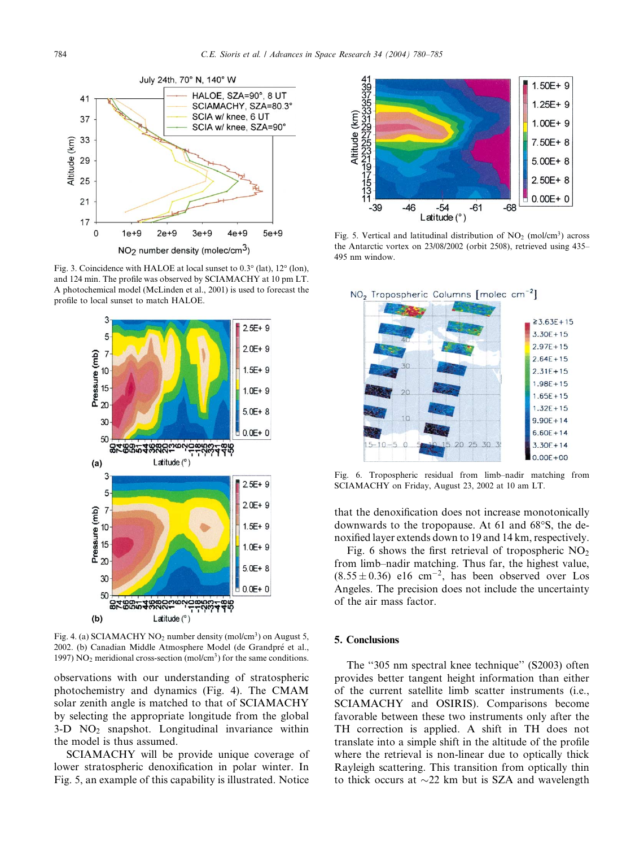

Fig. 3. Coincidence with HALOE at local sunset to  $0.3^\circ$  (lat),  $12^\circ$  (lon), and 124 min. The profile was observed by SCIAMACHY at 10 pm LT. A photochemical model (McLinden et al., 2001) is used to forecast the profile to local sunset to match HALOE.



Fig. 4. (a) SCIAMACHY  $NO<sub>2</sub>$  number density (mol/cm<sup>3</sup>) on August 5, 2002. (b) Canadian Middle Atmosphere Model (de Grandpre et al., 1997) NO<sub>2</sub> meridional cross-section (mol/cm<sup>3</sup>) for the same conditions.

observations with our understanding of stratospheric photochemistry and dynamics (Fig. 4). The CMAM solar zenith angle is matched to that of SCIAMACHY by selecting the appropriate longitude from the global  $3-D$  NO<sub>2</sub> snapshot. Longitudinal invariance within the model is thus assumed.

SCIAMACHY will be provide unique coverage of lower stratospheric denoxification in polar winter. In Fig. 5, an example of this capability is illustrated. Notice



Fig. 5. Vertical and latitudinal distribution of  $NO<sub>2</sub>$  (mol/cm<sup>3</sup>) across the Antarctic vortex on 23/08/2002 (orbit 2508), retrieved using 435– 495 nm window.



Fig. 6. Tropospheric residual from limb–nadir matching from SCIAMACHY on Friday, August 23, 2002 at 10 am LT.

that the denoxification does not increase monotonically downwards to the tropopause. At  $61$  and  $68^{\circ}$ S, the denoxified layer extends down to 19 and 14 km, respectively.

Fig. 6 shows the first retrieval of tropospheric  $NO<sub>2</sub>$ from limb–nadir matching. Thus far, the highest value,  $(8.55 \pm 0.36)$  e16 cm<sup>-2</sup>, has been observed over Los Angeles. The precision does not include the uncertainty of the air mass factor.

#### 5. Conclusions

The ''305 nm spectral knee technique'' (S2003) often provides better tangent height information than either of the current satellite limb scatter instruments (i.e., SCIAMACHY and OSIRIS). Comparisons become favorable between these two instruments only after the TH correction is applied. A shift in TH does not translate into a simple shift in the altitude of the profile where the retrieval is non-linear due to optically thick Rayleigh scattering. This transition from optically thin to thick occurs at  $\sim$ 22 km but is SZA and wavelength